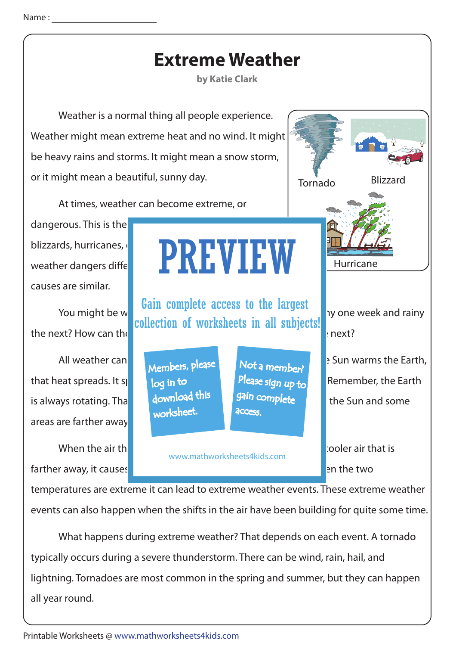

typically occurs during a severe thunderstorm. There can be wind, rain, hail, and lightning. Tornadoes are most common in the spring and summer, but they can happen all year round.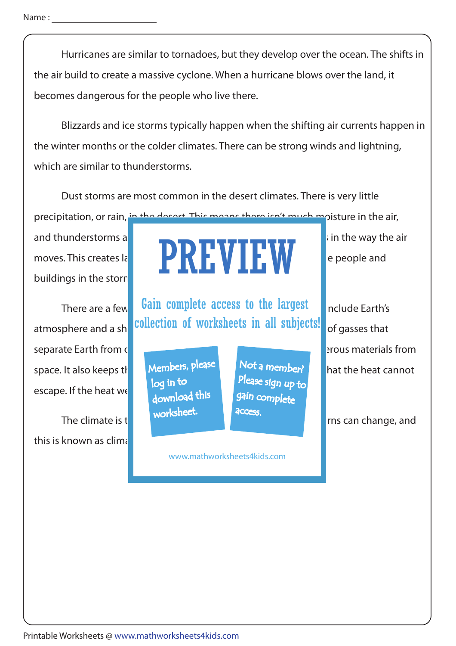Hurricanes are similar to tornadoes, but they develop over the ocean. The shifts in the air build to create a massive cyclone. When a hurricane blows over the land, it becomes dangerous for the people who live there.

 Blizzards and ice storms typically happen when the shifting air currents happen in the winter months or the colder climates. There can be strong winds and lightning, which are similar to thunderstorms.

 Dust storms are most common in the desert climates. There is very little precipitation, or rain, in the desert. This means there isn't much moisture in the air,

buildings in the storn

separate Earth from outer space. The atmosphere keeps out at most of atmosphere keeps out of atmosphere keeps o space. It also keeps the **Members**,  $P^{lease}$  in the heat of the heat cannot escape. If the heat we

this is known as climate.



There are a few **Gain complete access to the largest** nclude Earth's atmosphere and a sh**ifting collection of worksheets in all subjects!** of gasses that

> Members, please download this worksheet. log in to

Not a member? gain complete Please sign up to **access** 

www.mathworksheets4kids.com

The climate is the pattern of weather of weather of weather of weather of weather many years. Patterns can change, and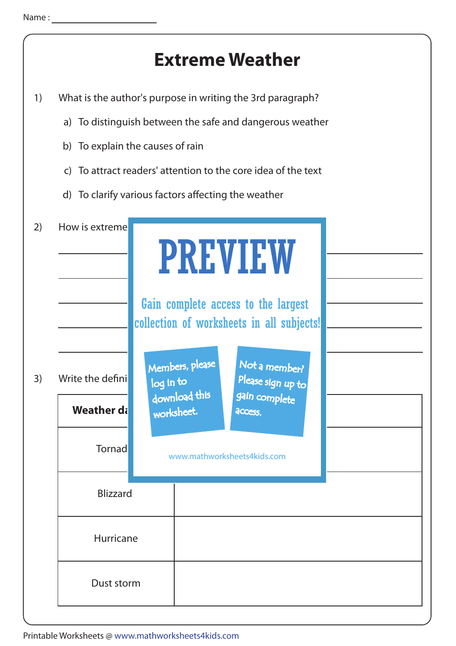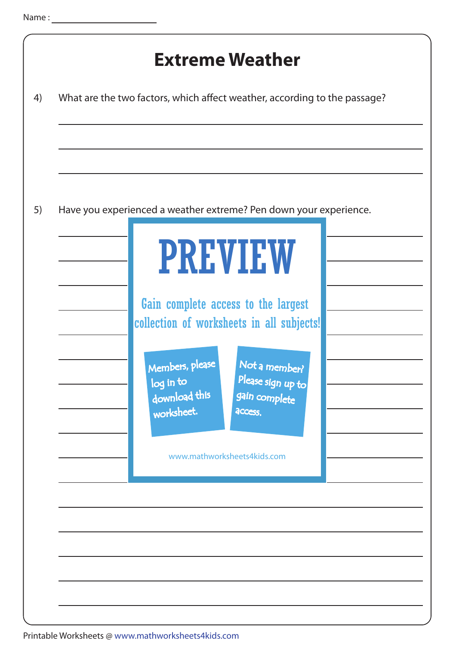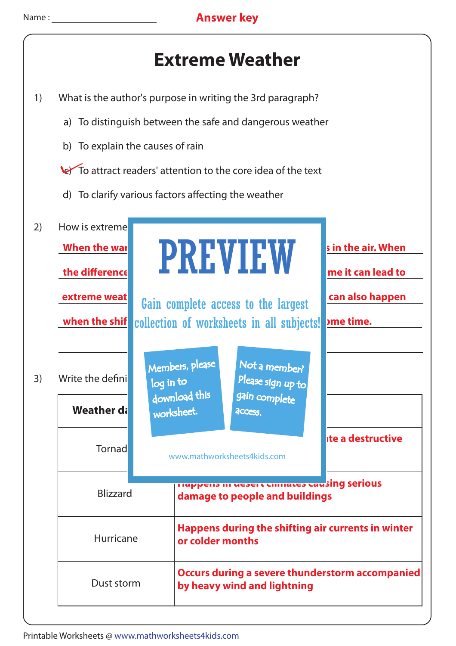